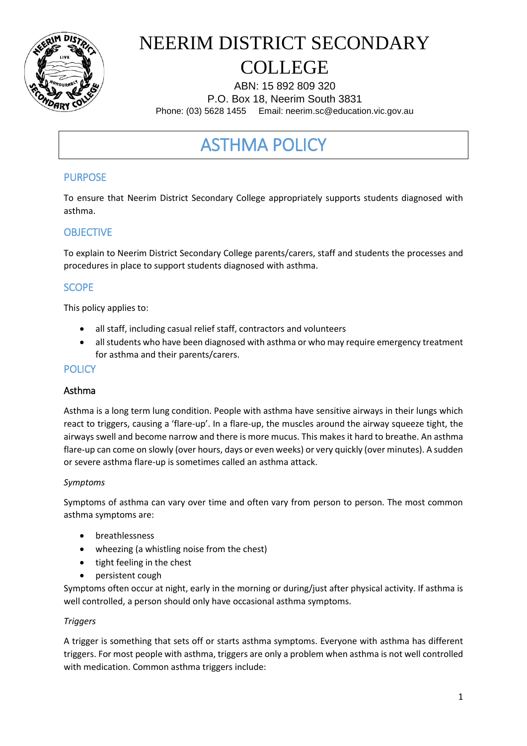

# NEERIM DISTRICT SECONDARY

### COLLEGE

ABN: 15 892 809 320 P.O. Box 18, Neerim South 3831 Phone: (03) 5628 1455 Email: neerim.sc@education.vic.gov.au

### ASTHMA POLICY

#### PURPOSE

To ensure that Neerim District Secondary College appropriately supports students diagnosed with asthma.

#### **OBJECTIVE**

To explain to Neerim District Secondary College parents/carers, staff and students the processes and procedures in place to support students diagnosed with asthma.

#### **SCOPE**

This policy applies to:

- all staff, including casual relief staff, contractors and volunteers
- all students who have been diagnosed with asthma or who may require emergency treatment for asthma and their parents/carers.

#### **POLICY**

#### Asthma

Asthma is a long term lung condition. People with asthma have sensitive airways in their lungs which react to triggers, causing a 'flare-up'. In a flare-up, the muscles around the airway squeeze tight, the airways swell and become narrow and there is more mucus. This makes it hard to breathe. An asthma flare-up can come on slowly (over hours, days or even weeks) or very quickly (over minutes). A sudden or severe asthma flare-up is sometimes called an asthma attack.

#### *Symptoms*

Symptoms of asthma can vary over time and often vary from person to person. The most common asthma symptoms are:

- breathlessness
- wheezing (a whistling noise from the chest)
- tight feeling in the chest
- persistent cough

Symptoms often occur at night, early in the morning or during/just after physical activity. If asthma is well controlled, a person should only have occasional asthma symptoms.

#### *Triggers*

A trigger is something that sets off or starts asthma symptoms. Everyone with asthma has different triggers. For most people with asthma, triggers are only a problem when asthma is not well controlled with medication. Common asthma triggers include: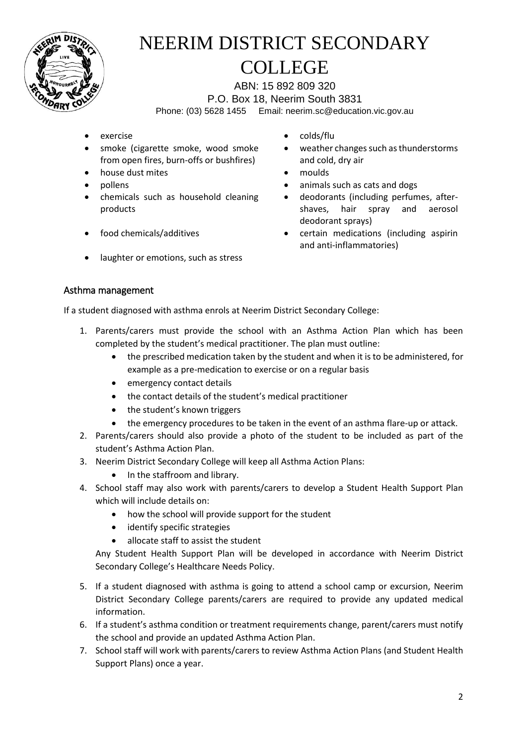

ABN: 15 892 809 320 P.O. Box 18, Neerim South 3831 Phone: (03) 5628 1455 Email: neerim.sc@education.vic.gov.au

- 
- smoke (cigarette smoke, wood smoke from open fires, burn-offs or bushfires)
- house dust mites **moulds**
- 
- chemicals such as household cleaning products
- 
- laughter or emotions, such as stress
- exercise exercise exercise
	- weather changes such as thunderstorms and cold, dry air
	-
- pollens **by animals** such as cats and dogs **animals** 
	- deodorants (including perfumes, aftershaves, hair spray and aerosol deodorant sprays)
- food chemicals/additives certain medications (including aspirin and anti-inflammatories)

#### Asthma management

If a student diagnosed with asthma enrols at Neerim District Secondary College:

- 1. Parents/carers must provide the school with an Asthma Action Plan which has been completed by the student's medical practitioner. The plan must outline:
	- the prescribed medication taken by the student and when it is to be administered, for example as a pre-medication to exercise or on a regular basis
	- emergency contact details
	- the contact details of the student's medical practitioner
	- the student's known triggers
	- the emergency procedures to be taken in the event of an asthma flare-up or attack.
- 2. Parents/carers should also provide a photo of the student to be included as part of the student's Asthma Action Plan.
- 3. Neerim District Secondary College will keep all Asthma Action Plans:
	- In the staffroom and library.
- 4. School staff may also work with parents/carers to develop a Student Health Support Plan which will include details on:
	- how the school will provide support for the student
	- identify specific strategies
	- allocate staff to assist the student

Any Student Health Support Plan will be developed in accordance with Neerim District Secondary College's Healthcare Needs Policy.

- 5. If a student diagnosed with asthma is going to attend a school camp or excursion, Neerim District Secondary College parents/carers are required to provide any updated medical information.
- 6. If a student's asthma condition or treatment requirements change, parent/carers must notify the school and provide an updated Asthma Action Plan.
- 7. School staff will work with parents/carers to review Asthma Action Plans (and Student Health Support Plans) once a year.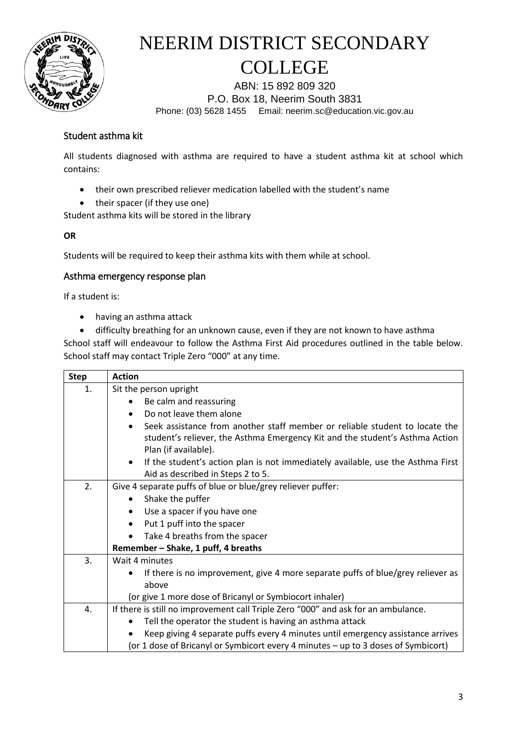

ABN: 15 892 809 320 P.O. Box 18, Neerim South 3831 Phone: (03) 5628 1455 Email: neerim.sc@education.vic.gov.au

#### Student asthma kit

All students diagnosed with asthma are required to have a student asthma kit at school which contains:

- their own prescribed reliever medication labelled with the student's name
- their spacer (if they use one)

Student asthma kits will be stored in the library

#### **OR**

Students will be required to keep their asthma kits with them while at school.

#### Asthma emergency response plan

If a student is:

- having an asthma attack
- difficulty breathing for an unknown cause, even if they are not known to have asthma

School staff will endeavour to follow the Asthma First Aid procedures outlined in the table below. School staff may contact Triple Zero "000" at any time.

| <b>Step</b> | <b>Action</b>                                                                                |  |  |  |  |  |
|-------------|----------------------------------------------------------------------------------------------|--|--|--|--|--|
| 1.          | Sit the person upright                                                                       |  |  |  |  |  |
|             | Be calm and reassuring                                                                       |  |  |  |  |  |
|             | Do not leave them alone<br>$\bullet$                                                         |  |  |  |  |  |
|             | Seek assistance from another staff member or reliable student to locate the<br>$\bullet$     |  |  |  |  |  |
|             | student's reliever, the Asthma Emergency Kit and the student's Asthma Action                 |  |  |  |  |  |
|             | Plan (if available).                                                                         |  |  |  |  |  |
|             | If the student's action plan is not immediately available, use the Asthma First<br>$\bullet$ |  |  |  |  |  |
|             | Aid as described in Steps 2 to 5.                                                            |  |  |  |  |  |
| 2.          | Give 4 separate puffs of blue or blue/grey reliever puffer:                                  |  |  |  |  |  |
|             | Shake the puffer                                                                             |  |  |  |  |  |
|             | Use a spacer if you have one<br>$\bullet$                                                    |  |  |  |  |  |
|             | Put 1 puff into the spacer<br>$\bullet$                                                      |  |  |  |  |  |
|             | Take 4 breaths from the spacer                                                               |  |  |  |  |  |
|             | Remember - Shake, 1 puff, 4 breaths                                                          |  |  |  |  |  |
| 3.          | Wait 4 minutes                                                                               |  |  |  |  |  |
|             | If there is no improvement, give 4 more separate puffs of blue/grey reliever as              |  |  |  |  |  |
|             | above                                                                                        |  |  |  |  |  |
|             | (or give 1 more dose of Bricanyl or Symbiocort inhaler)                                      |  |  |  |  |  |
| 4.          | If there is still no improvement call Triple Zero "000" and ask for an ambulance.            |  |  |  |  |  |
|             | Tell the operator the student is having an asthma attack                                     |  |  |  |  |  |
|             | Keep giving 4 separate puffs every 4 minutes until emergency assistance arrives              |  |  |  |  |  |
|             | (or 1 dose of Bricanyl or Symbicort every 4 minutes - up to 3 doses of Symbicort)            |  |  |  |  |  |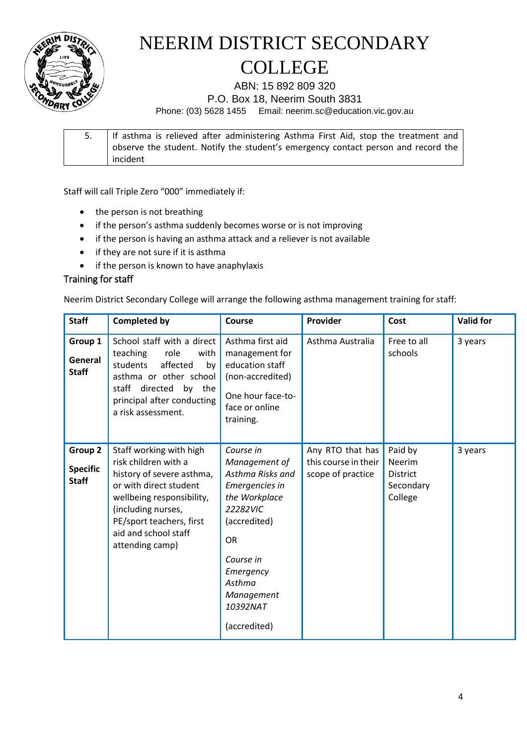

ABN: 15 892 809 320

P.O. Box 18, Neerim South 3831

Phone: (03) 5628 1455 Email: neerim.sc@education.vic.gov.au

5. If asthma is relieved after administering Asthma First Aid, stop the treatment and observe the student. Notify the student's emergency contact person and record the incident

Staff will call Triple Zero "000" immediately if:

- the person is not breathing
- if the person's asthma suddenly becomes worse or is not improving
- if the person is having an asthma attack and a reliever is not available
- if they are not sure if it is asthma
- if the person is known to have anaphylaxis

#### Training for staff

Neerim District Secondary College will arrange the following asthma management training for staff:

| <b>Staff</b>                               | <b>Completed by</b>                                                                                                                                                                                                              | Course                                                                                                                                                                                                   | Provider                                                      | Cost                                                                | <b>Valid for</b> |
|--------------------------------------------|----------------------------------------------------------------------------------------------------------------------------------------------------------------------------------------------------------------------------------|----------------------------------------------------------------------------------------------------------------------------------------------------------------------------------------------------------|---------------------------------------------------------------|---------------------------------------------------------------------|------------------|
| Group 1<br>General<br><b>Staff</b>         | School staff with a direct<br>teaching<br>role<br>with<br>students<br>affected<br>by<br>asthma or other school<br>staff directed by the<br>principal after conducting<br>a risk assessment.                                      | Asthma first aid<br>management for<br>education staff<br>(non-accredited)<br>One hour face-to-<br>face or online<br>training.                                                                            | Asthma Australia                                              | Free to all<br>schools                                              | 3 years          |
| Group 2<br><b>Specific</b><br><b>Staff</b> | Staff working with high<br>risk children with a<br>history of severe asthma,<br>or with direct student<br>wellbeing responsibility,<br>(including nurses,<br>PE/sport teachers, first<br>aid and school staff<br>attending camp) | Course in<br>Management of<br>Asthma Risks and<br>Emergencies in<br>the Workplace<br>22282VIC<br>(accredited)<br><b>OR</b><br>Course in<br>Emergency<br>Asthma<br>Management<br>10392NAT<br>(accredited) | Any RTO that has<br>this course in their<br>scope of practice | Paid by<br><b>Neerim</b><br><b>District</b><br>Secondary<br>College | 3 years          |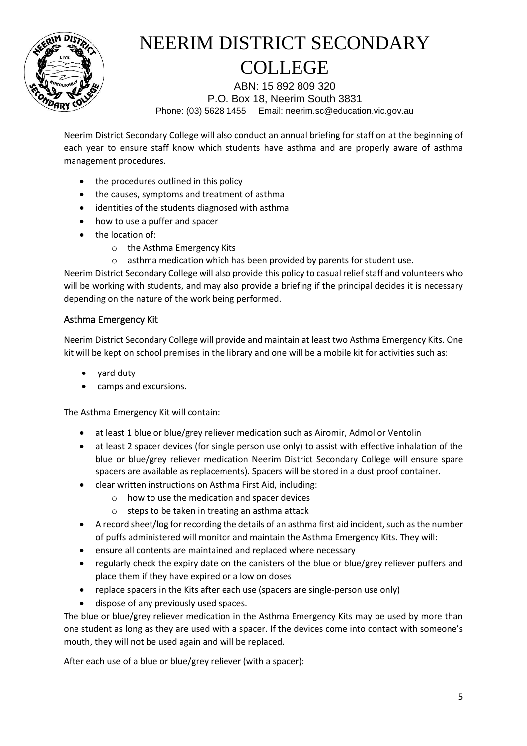

ABN: 15 892 809 320 P.O. Box 18, Neerim South 3831 Phone: (03) 5628 1455 Email: neerim.sc@education.vic.gov.au

Neerim District Secondary College will also conduct an annual briefing for staff on at the beginning of each year to ensure staff know which students have asthma and are properly aware of asthma management procedures.

- the procedures outlined in this policy
- the causes, symptoms and treatment of asthma
- identities of the students diagnosed with asthma
- how to use a puffer and spacer
- the location of:
	- o the Asthma Emergency Kits
	- o asthma medication which has been provided by parents for student use.

Neerim District Secondary College will also provide this policy to casual relief staff and volunteers who will be working with students, and may also provide a briefing if the principal decides it is necessary depending on the nature of the work being performed.

#### Asthma Emergency Kit

Neerim District Secondary College will provide and maintain at least two Asthma Emergency Kits. One kit will be kept on school premises in the library and one will be a mobile kit for activities such as:

- yard duty
- camps and excursions.

The Asthma Emergency Kit will contain:

- at least 1 blue or blue/grey reliever medication such as Airomir, Admol or Ventolin
- at least 2 spacer devices (for single person use only) to assist with effective inhalation of the blue or blue/grey reliever medication Neerim District Secondary College will ensure spare spacers are available as replacements). Spacers will be stored in a dust proof container.
- clear written instructions on Asthma First Aid, including:
	- o how to use the medication and spacer devices
	- o steps to be taken in treating an asthma attack
- A record sheet/log for recording the details of an asthma first aid incident, such as the number of puffs administered will monitor and maintain the Asthma Emergency Kits. They will:
- ensure all contents are maintained and replaced where necessary
- regularly check the expiry date on the canisters of the blue or blue/grey reliever puffers and place them if they have expired or a low on doses
- replace spacers in the Kits after each use (spacers are single-person use only)
- dispose of any previously used spaces.

The blue or blue/grey reliever medication in the Asthma Emergency Kits may be used by more than one student as long as they are used with a spacer. If the devices come into contact with someone's mouth, they will not be used again and will be replaced.

After each use of a blue or blue/grey reliever (with a spacer):